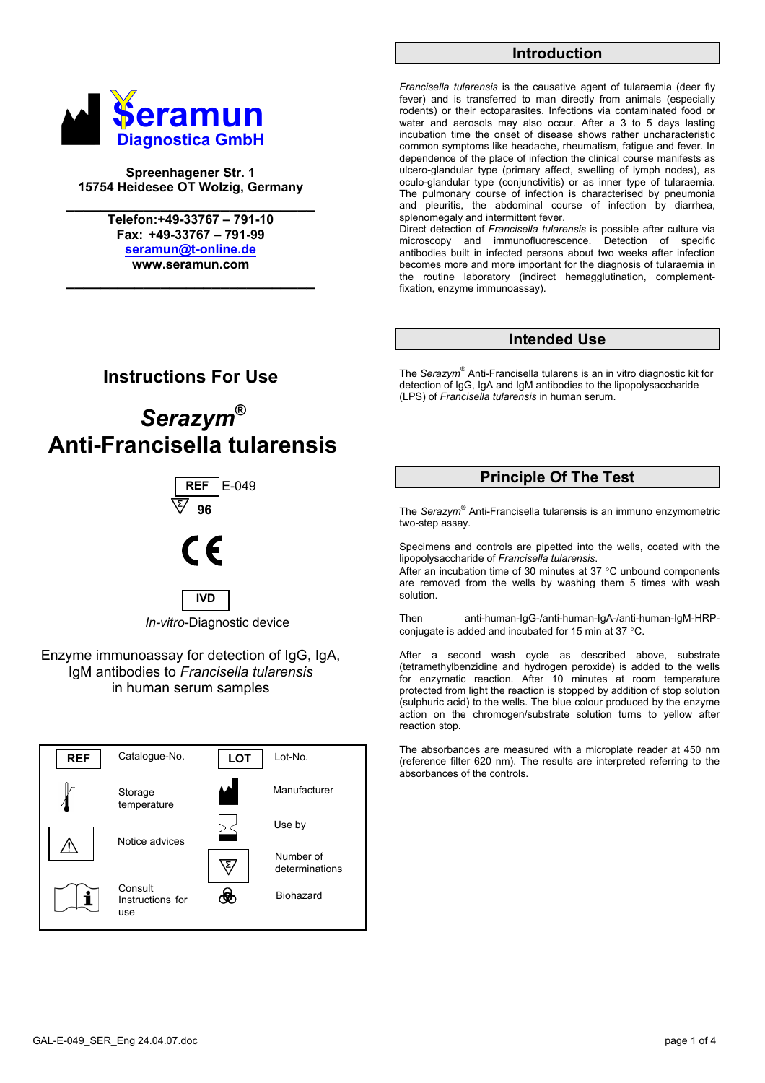

**Spreenhagener Str. 1 15754 Heidesee OT Wolzig, Germany** 

> **\_\_\_\_\_\_\_\_\_\_\_\_\_\_\_\_\_\_\_\_\_\_\_\_\_\_\_\_\_ Telefon:+49-33767 – 791-10 Fax: +49-33767 – 791-99 seramun@t-online.de www.seramun.com**

**\_\_\_\_\_\_\_\_\_\_\_\_\_\_\_\_\_\_\_\_\_\_\_\_\_\_\_\_\_** 

**Introduction** 

*Francisella tularensis* is the causative agent of tularaemia (deer fly fever) and is transferred to man directly from animals (especially rodents) or their ectoparasites. Infections via contaminated food or water and aerosols may also occur. After a 3 to 5 days lasting incubation time the onset of disease shows rather uncharacteristic common symptoms like headache, rheumatism, fatigue and fever. In dependence of the place of infection the clinical course manifests as ulcero-glandular type (primary affect, swelling of lymph nodes), as oculo-glandular type (conjunctivitis) or as inner type of tularaemia. The pulmonary course of infection is characterised by pneumonia and pleuritis, the abdominal course of infection by diarrhea, splenomegaly and intermittent fever.

Direct detection of *Francisella tularensis* is possible after culture via microscopy and immunofluorescence. Detection of specific antibodies built in infected persons about two weeks after infection becomes more and more important for the diagnosis of tularaemia in the routine laboratory (indirect hemagglutination, complementfixation, enzyme immunoassay).

### **Intended Use**

The *Serazym*® Anti-Francisella tularens is an in vitro diagnostic kit for detection of IgG, IgA and IgM antibodies to the lipopolysaccharide (LPS) of *Francisella tularensis* in human serum.

# **Instructions For Use**

## *Serazym***® Anti-Francisella tularensis**



 $\epsilon$ **IVD** 

 *In-vitro*-Diagnostic device

Enzyme immunoassay for detection of IgG, IgA, IgM antibodies to *Francisella tularensis* in human serum samples



## **Principle Of The Test**

The *Serazym®* Anti-Francisella tularensis is an immuno enzymometric two-step assay.

Specimens and controls are pipetted into the wells, coated with the lipopolysaccharide of *Francisella tularensis*.

After an incubation time of 30 minutes at 37 °C unbound components are removed from the wells by washing them 5 times with wash solution.

Then anti-human-IgG-/anti-human-IgA-/anti-human-IgM-HRPconjugate is added and incubated for 15 min at 37 °C.

After a second wash cycle as described above, substrate (tetramethylbenzidine and hydrogen peroxide) is added to the wells for enzymatic reaction. After 10 minutes at room temperature protected from light the reaction is stopped by addition of stop solution (sulphuric acid) to the wells. The blue colour produced by the enzyme action on the chromogen/substrate solution turns to yellow after reaction stop.

The absorbances are measured with a microplate reader at 450 nm (reference filter 620 nm). The results are interpreted referring to the absorbances of the controls.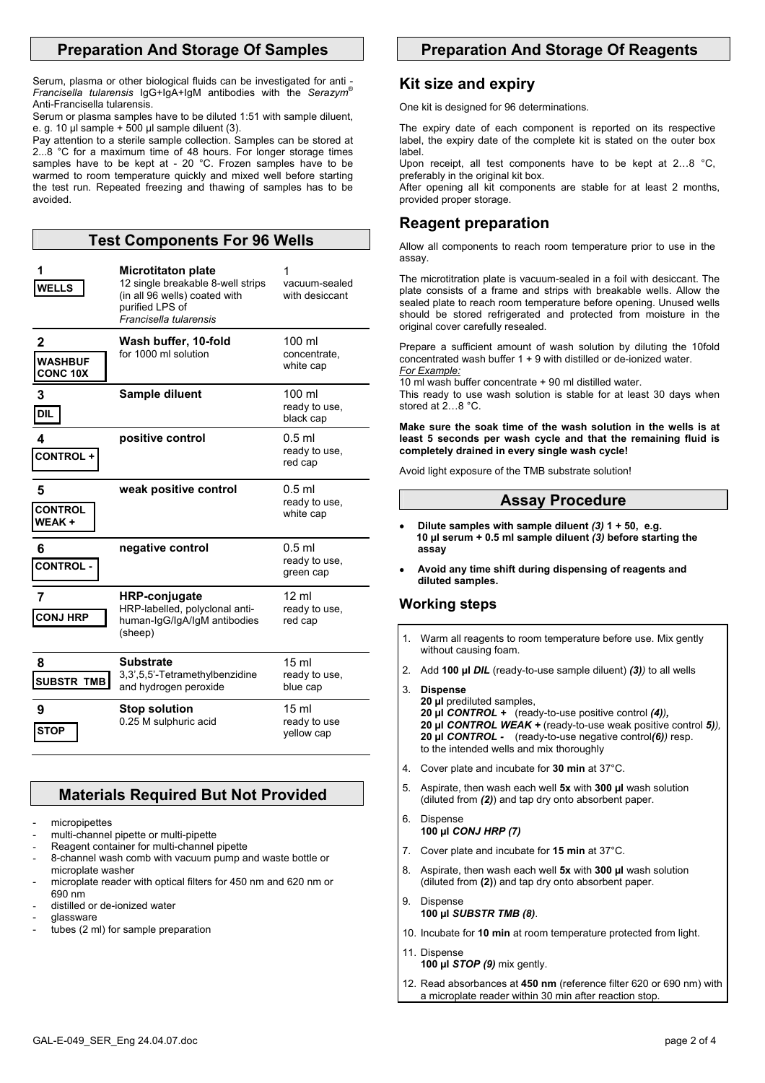## **Preparation And Storage Of Samples**

Serum, plasma or other biological fluids can be investigated for anti - *Francisella tularensis* IgG+IgA+IgM antibodies with the *Serazym*® Anti-Francisella tularensis.

Serum or plasma samples have to be diluted 1:51 with sample diluent, e. g. 10  $\mu$ l sample + 500  $\mu$ l sample diluent (3).

Pay attention to a sterile sample collection. Samples can be stored at 2...8 °C for a maximum time of 48 hours. For longer storage times samples have to be kept at - 20 °C. Frozen samples have to be warmed to room temperature quickly and mixed well before starting the test run. Repeated freezing and thawing of samples has to be avoided.

## **Test Components For 96 Wells**

| <b>WELLS</b>                                      | <b>Microtitaton plate</b><br>12 single breakable 8-well strips<br>(in all 96 wells) coated with<br>purified LPS of<br>Francisella tularensis | 1<br>vacuum-sealed<br>with desiccant            |
|---------------------------------------------------|----------------------------------------------------------------------------------------------------------------------------------------------|-------------------------------------------------|
| $\mathbf{2}$<br><b>WASHBUF</b><br><b>CONC 10X</b> | Wash buffer, 10-fold<br>for 1000 ml solution                                                                                                 | $100 \mathrm{ml}$<br>concentrate.<br>white cap  |
| 3<br><b>DIL</b>                                   | Sample diluent                                                                                                                               | $100 \mathrm{ml}$<br>ready to use.<br>black cap |
| 4<br><b>CONTROL +</b>                             | positive control                                                                                                                             | $0.5$ ml<br>ready to use,<br>red cap            |
| 5<br><b>CONTROL</b><br>WEAK+                      | weak positive control                                                                                                                        | $0.5$ ml<br>ready to use,<br>white cap          |
| 6<br><b>CONTROL -</b>                             | negative control                                                                                                                             | $0.5$ ml<br>ready to use,<br>green cap          |
| 7<br><b>CONJ HRP</b>                              | <b>HRP-conjugate</b><br>HRP-labelled, polyclonal anti-<br>human-IqG/IqA/IqM antibodies<br>(sheep)                                            | $12 \text{ ml}$<br>ready to use,<br>red cap     |
| 8<br><b>SUBSTR TMB</b>                            | <b>Substrate</b><br>3,3',5,5'-Tetramethylbenzidine<br>and hydrogen peroxide                                                                  | 15 <sub>m</sub><br>ready to use,<br>blue cap    |
| 9<br><b>STOP</b>                                  | <b>Stop solution</b><br>0.25 M sulphuric acid                                                                                                | $15 \mathrm{m}$<br>ready to use<br>yellow cap   |

## **Materials Required But Not Provided**

- micropipettes
- multi-channel pipette or multi-pipette
- Reagent container for multi-channel pipette
- 8-channel wash comb with vacuum pump and waste bottle or microplate washer
- microplate reader with optical filters for 450 nm and 620 nm or 690 nm
- distilled or de-ionized water
- qlassware
- tubes (2 ml) for sample preparation

# **Preparation And Storage Of Reagents**

## **Kit size and expiry**

One kit is designed for 96 determinations.

The expiry date of each component is reported on its respective label, the expiry date of the complete kit is stated on the outer box label.

Upon receipt, all test components have to be kept at 2…8 °C, preferably in the original kit box.

After opening all kit components are stable for at least 2 months, provided proper storage.

## **Reagent preparation**

Allow all components to reach room temperature prior to use in the assay.

The microtitration plate is vacuum-sealed in a foil with desiccant. The plate consists of a frame and strips with breakable wells. Allow the sealed plate to reach room temperature before opening. Unused wells should be stored refrigerated and protected from moisture in the original cover carefully resealed.

Prepare a sufficient amount of wash solution by diluting the 10fold concentrated wash buffer 1 + 9 with distilled or de-ionized water. *For Example:*

10 ml wash buffer concentrate + 90 ml distilled water.

This ready to use wash solution is stable for at least 30 days when stored at 2…8 °C.

**Make sure the soak time of the wash solution in the wells is at least 5 seconds per wash cycle and that the remaining fluid is completely drained in every single wash cycle!** 

Avoid light exposure of the TMB substrate solution!

### **Assay Procedure**

- • **Dilute samples with sample diluent** *(3)* **1 + 50, e.g. 10 µl serum + 0.5 ml sample diluent** *(3)* **before starting the assay**
- • **Avoid any time shift during dispensing of reagents and diluted samples.**

### **Working steps**

- 1. Warm all reagents to room temperature before use. Mix gently without causing foam.
- 2. Add **100 µl** *DIL* (ready-to-use sample diluent) *(3))* to all wells
- 3. **Dispense 20 µl** prediluted samples, **20 µl** *CONTROL +* (ready-to-use positive control *(4)),*  **20 µl** *CONTROL WEAK +* (ready-to-use weak positive control *5)),* **20 µl** *CONTROL -* (ready-to-use negative control*(6))* resp. to the intended wells and mix thoroughly
- 4. Cover plate and incubate for **30 min** at 37°C.
- 5. Aspirate, then wash each well **5x** with **300 µl** wash solution (diluted from *(2)*) and tap dry onto absorbent paper.
- 6. Dispense **100 µl** *CONJ HRP (7)*
- 7. Cover plate and incubate for **15 min** at 37°C.
- 8. Aspirate, then wash each well **5x** with **300 µl** wash solution (diluted from **(2)**) and tap dry onto absorbent paper.
- 9. Dispense **100 µl** *SUBSTR TMB (8)*.
- 10. Incubate for **10 min** at room temperature protected from light.
- 11. Dispense
	- **100 µl** *STOP (9)* mix gently.
- 12. Read absorbances at **450 nm** (reference filter 620 or 690 nm) with a microplate reader within 30 min after reaction stop.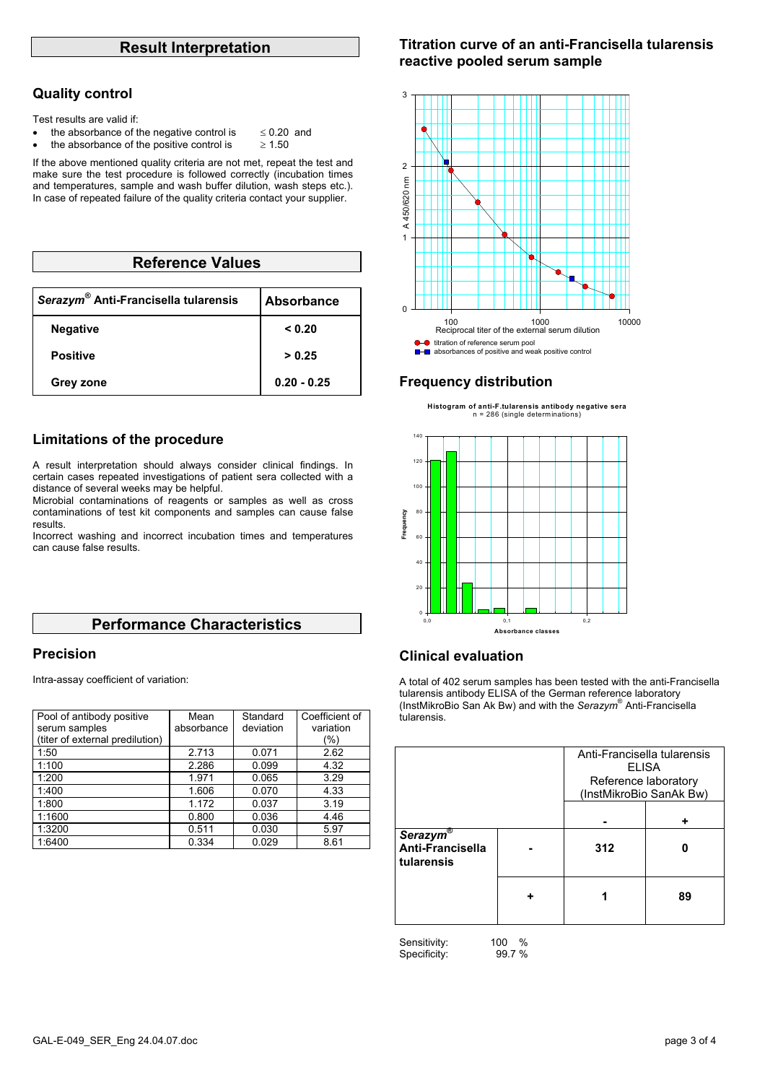### **Result Interpretation**

# **Quality control**

- Test results are valid if:
	- the absorbance of the negative control is  $\leq 0.20$  and
- the absorbance of the positive control is  $\geq 1.50$

If the above mentioned quality criteria are not met, repeat the test and make sure the test procedure is followed correctly (incubation times and temperatures, sample and wash buffer dilution, wash steps etc.). In case of repeated failure of the quality criteria contact your supplier.

#### **Reference Values**

| Serazym® Anti-Francisella tularensis | Absorbance    |
|--------------------------------------|---------------|
| <b>Negative</b>                      | < 0.20        |
| <b>Positive</b>                      | > 0.25        |
| <b>Grey zone</b>                     | $0.20 - 0.25$ |

### **Limitations of the procedure**

A result interpretation should always consider clinical findings. In certain cases repeated investigations of patient sera collected with a distance of several weeks may be helpful.

Microbial contaminations of reagents or samples as well as cross contaminations of test kit components and samples can cause false results.

Incorrect washing and incorrect incubation times and temperatures can cause false results.

### **Performance Characteristics**

### **Precision**

Intra-assay coefficient of variation:

| Pool of antibody positive<br>serum samples<br>(titer of external predilution) | Mean<br>absorbance | Standard<br>deviation | Coefficient of<br>variation<br>(%) |
|-------------------------------------------------------------------------------|--------------------|-----------------------|------------------------------------|
| 1:50                                                                          | 2.713              | 0.071                 | 2.62                               |
| 1:100                                                                         | 2.286              | 0.099                 | 4.32                               |
| 1:200                                                                         | 1.971              | 0.065                 | 3.29                               |
| 1:400                                                                         | 1.606              | 0.070                 | 4.33                               |
| 1:800                                                                         | 1.172              | 0.037                 | 3.19                               |
| 1:1600                                                                        | 0.800              | 0.036                 | 4.46                               |
| 1:3200                                                                        | 0.511              | 0.030                 | 5.97                               |
| 1:6400                                                                        | 0.334              | 0.029                 | 8.61                               |

### **Titration curve of an anti-Francisella tularensis reactive pooled serum sample**



### **Frequency distribution**





### **Clinical evaluation**

A total of 402 serum samples has been tested with the anti-Francisella tularensis antibody ELISA of the German reference laboratory (InstMikroBio San Ak Bw) and with the *Serazym*® Anti-Francisella tularensis.

|                                            | Anti-Francisella tularensis<br><b>ELISA</b><br>Reference laboratory<br>(InstMikroBio SanAk Bw) |    |
|--------------------------------------------|------------------------------------------------------------------------------------------------|----|
|                                            |                                                                                                |    |
| Serazym®<br>Anti-Francisella<br>tularensis | 312                                                                                            |    |
|                                            |                                                                                                | 89 |

| Sensitivity: |
|--------------|
| Specificity: |

100 % 99.7 %